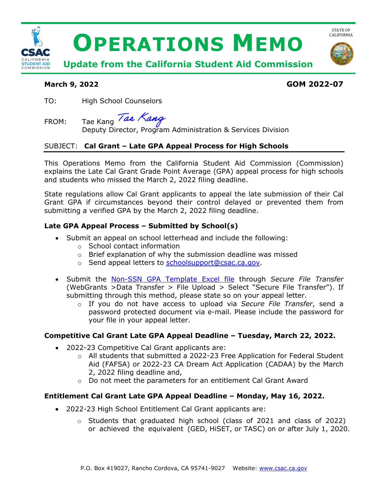

# **March 9, 2022 GOM 2022-07**

TO: High School Counselors

FROM: Tae Kang

Deputy Director, Program Administration & Services Division

# SUBJECT: **Cal Grant – Late GPA Appeal Process for High Schools**

This Operations Memo from the California Student Aid Commission (Commission) explains the Late Cal Grant Grade Point Average (GPA) appeal process for high schools and students who missed the March 2, 2022 filing deadline.

State regulations allow Cal Grant applicants to appeal the late submission of their Cal Grant GPA if circumstances beyond their control delayed or prevented them from submitting a verified GPA by the March 2, 2022 filing deadline.

#### **Late GPA Appeal Process – Submitted by School(s)**

- Submit an appeal on school letterhead and include the following:
	- o School contact information
	- $\circ$  Brief explanation of why the submission deadline was missed
	- o Send appeal letters to [schoolsupport@csac.ca.gov.](mailto:schoolsupport@csac.ca.gov)
- Submit the [Non-SSN GPA Template Excel file](https://www.csac.ca.gov/post/gpa-submission-information) through *Secure File Transfer* (WebGrants >Data Transfer > File Upload > Select "Secure File Transfer"). If submitting through this method, please state so on your appeal letter.
	- o If you do not have access to upload via *Secure File Transfer*, send a password protected document via e-mail. Please include the password for your file in your appeal letter.

#### **Competitive Cal Grant Late GPA Appeal Deadline – Tuesday, March 22, 2022.**

- 2022-23 Competitive Cal Grant applicants are:
	- $\circ$  All students that submitted a 2022-23 Free Application for Federal Student Aid (FAFSA) or 2022-23 CA Dream Act Application (CADAA) by the March 2, 2022 filing deadline and,
	- o Do not meet the parameters for an entitlement Cal Grant Award

#### **Entitlement Cal Grant Late GPA Appeal Deadline – Monday, May 16, 2022.**

- 2022-23 High School Entitlement Cal Grant applicants are:
	- o Students that graduated high school (class of 2021 and class of 2022) or achieved the equivalent (GED, HiSET, or TASC) on or after July 1, 2020.